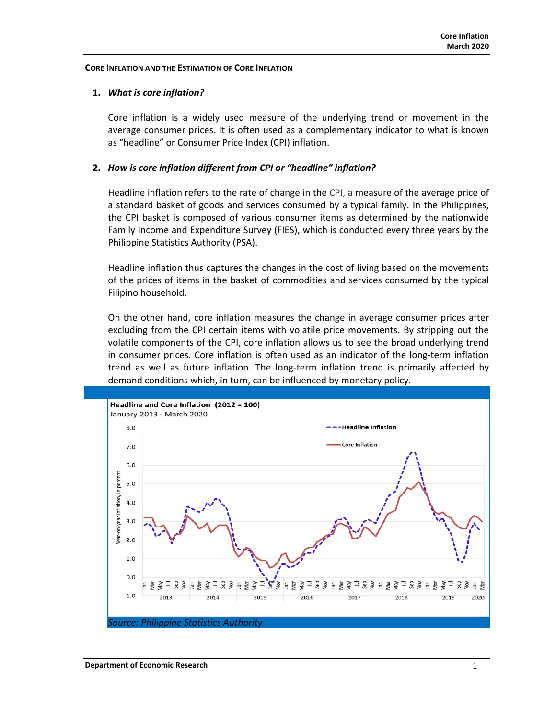### **CORE INFLATION AND THE ESTIMATION OF CORE INFLATION**

## **1.** *What is core inflation?*

Core inflation is a widely used measure of the underlying trend or movement in the average consumer prices. It is often used as a complementary indicator to what is known as "headline" or Consumer Price Index (CPI) inflation.

## **2.** *How is core inflation different from CPI or "headline" inflation?*

Headline inflation refers to the rate of change in the CPI, a measure of the average price of a standard basket of goods and services consumed by a typical family. In the Philippines, the CPI basket is composed of various consumer items as determined by the nationwide Family Income and Expenditure Survey (FIES), which is conducted every three years by the Philippine Statistics Authority (PSA).

Headline inflation thus captures the changes in the cost of living based on the movements of the prices of items in the basket of commodities and services consumed by the typical Filipino household.

On the other hand, core inflation measures the change in average consumer prices after excluding from the CPI certain items with volatile price movements. By stripping out the volatile components of the CPI, core inflation allows us to see the broad underlying trend in consumer prices. Core inflation is often used as an indicator of the long-term inflation trend as well as future inflation. The long-term inflation trend is primarily affected by demand conditions which, in turn, can be influenced by monetary policy.

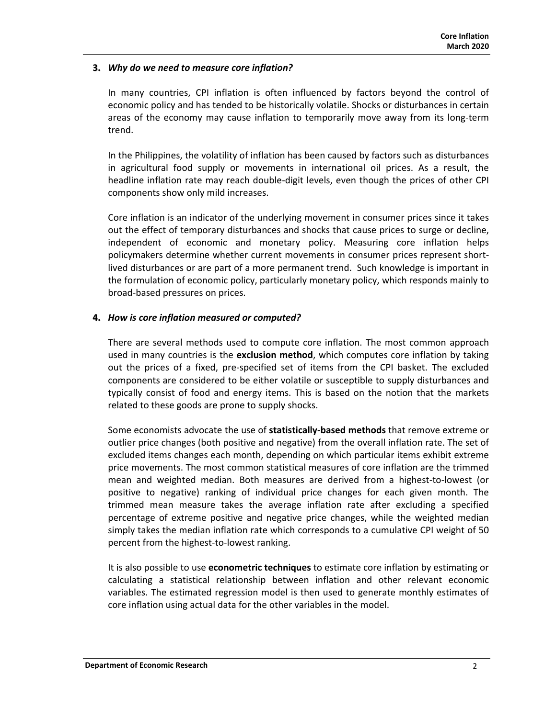## **3.** *Why do we need to measure core inflation?*

In many countries, CPI inflation is often influenced by factors beyond the control of economic policy and has tended to be historically volatile. Shocks or disturbances in certain areas of the economy may cause inflation to temporarily move away from its long-term trend.

In the Philippines, the volatility of inflation has been caused by factors such as disturbances in agricultural food supply or movements in international oil prices. As a result, the headline inflation rate may reach double‐digit levels, even though the prices of other CPI components show only mild increases.

Core inflation is an indicator of the underlying movement in consumer prices since it takes out the effect of temporary disturbances and shocks that cause prices to surge or decline, independent of economic and monetary policy. Measuring core inflation helps policymakers determine whether current movements in consumer prices represent short‐ lived disturbances or are part of a more permanent trend. Such knowledge is important in the formulation of economic policy, particularly monetary policy, which responds mainly to broad‐based pressures on prices.

### **4.** *How is core inflation measured or computed?*

There are several methods used to compute core inflation. The most common approach used in many countries is the **exclusion method**, which computes core inflation by taking out the prices of a fixed, pre‐specified set of items from the CPI basket. The excluded components are considered to be either volatile or susceptible to supply disturbances and typically consist of food and energy items. This is based on the notion that the markets related to these goods are prone to supply shocks.

Some economists advocate the use of **statistically‐based methods** that remove extreme or outlier price changes (both positive and negative) from the overall inflation rate. The set of excluded items changes each month, depending on which particular items exhibit extreme price movements. The most common statistical measures of core inflation are the trimmed mean and weighted median. Both measures are derived from a highest-to-lowest (or positive to negative) ranking of individual price changes for each given month. The trimmed mean measure takes the average inflation rate after excluding a specified percentage of extreme positive and negative price changes, while the weighted median simply takes the median inflation rate which corresponds to a cumulative CPI weight of 50 percent from the highest-to-lowest ranking.

It is also possible to use **econometric techniques** to estimate core inflation by estimating or calculating a statistical relationship between inflation and other relevant economic variables. The estimated regression model is then used to generate monthly estimates of core inflation using actual data for the other variables in the model.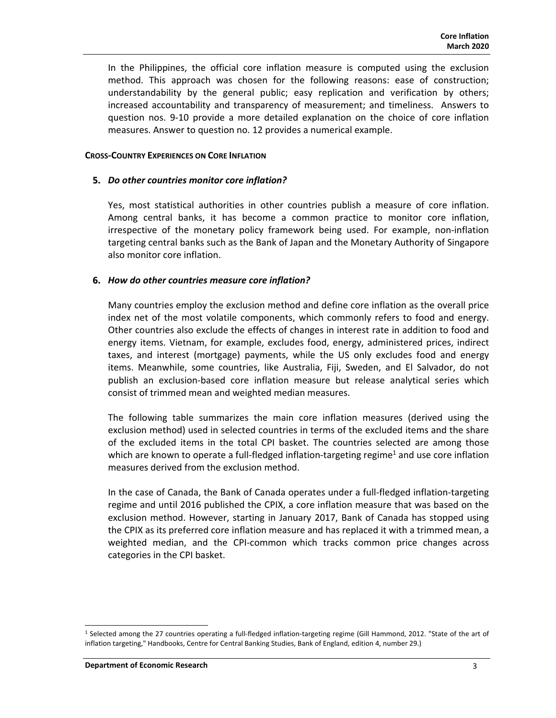In the Philippines, the official core inflation measure is computed using the exclusion method. This approach was chosen for the following reasons: ease of construction; understandability by the general public; easy replication and verification by others; increased accountability and transparency of measurement; and timeliness. Answers to question nos. 9-10 provide a more detailed explanation on the choice of core inflation measures. Answer to question no. 12 provides a numerical example.

#### **CROSS‐COUNTRY EXPERIENCES ON CORE INFLATION**

#### **5.** *Do other countries monitor core inflation?*

Yes, most statistical authorities in other countries publish a measure of core inflation. Among central banks, it has become a common practice to monitor core inflation, irrespective of the monetary policy framework being used. For example, non-inflation targeting central banks such as the Bank of Japan and the Monetary Authority of Singapore also monitor core inflation.

#### **6.** *How do other countries measure core inflation?*

Many countries employ the exclusion method and define core inflation as the overall price index net of the most volatile components, which commonly refers to food and energy. Other countries also exclude the effects of changes in interest rate in addition to food and energy items. Vietnam, for example, excludes food, energy, administered prices, indirect taxes, and interest (mortgage) payments, while the US only excludes food and energy items. Meanwhile, some countries, like Australia, Fiji, Sweden, and El Salvador, do not publish an exclusion‐based core inflation measure but release analytical series which consist of trimmed mean and weighted median measures.

The following table summarizes the main core inflation measures (derived using the exclusion method) used in selected countries in terms of the excluded items and the share of the excluded items in the total CPI basket. The countries selected are among those which are known to operate a full-fledged inflation-targeting regime<sup>1</sup> and use core inflation measures derived from the exclusion method.

In the case of Canada, the Bank of Canada operates under a full‐fledged inflation‐targeting regime and until 2016 published the CPIX, a core inflation measure that was based on the exclusion method. However, starting in January 2017, Bank of Canada has stopped using the CPIX as its preferred core inflation measure and has replaced it with a trimmed mean, a weighted median, and the CPI-common which tracks common price changes across categories in the CPI basket.

<sup>1</sup> Selected among the 27 countries operating a full-fledged inflation-targeting regime (Gill Hammond, 2012. "State of the art of inflation targeting," Handbooks, Centre for Central Banking Studies, Bank of England, edition 4, number 29.)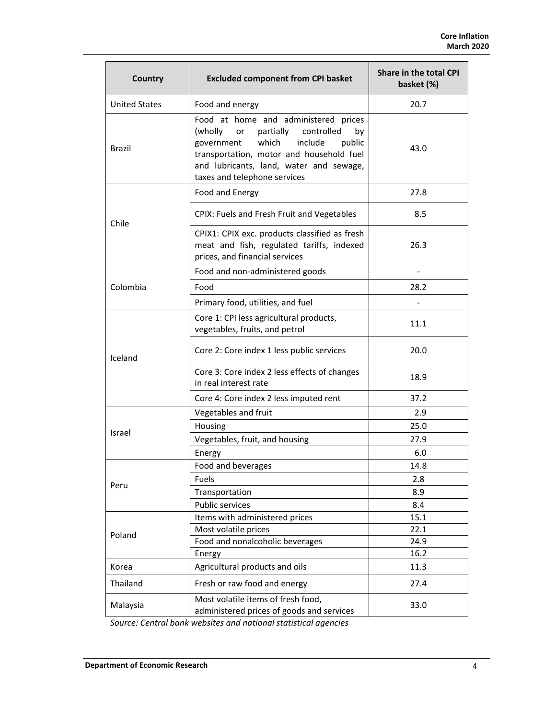| <b>Country</b>       | <b>Excluded component from CPI basket</b>                                                                                                                                                                                                                 | <b>Share in the total CPI</b><br>basket (%) |  |  |  |
|----------------------|-----------------------------------------------------------------------------------------------------------------------------------------------------------------------------------------------------------------------------------------------------------|---------------------------------------------|--|--|--|
| <b>United States</b> | Food and energy                                                                                                                                                                                                                                           | 20.7                                        |  |  |  |
| Brazil               | Food at home and administered prices<br>(wholly<br>partially<br>controlled<br>by<br>or<br>which<br>include<br>public<br>government<br>transportation, motor and household fuel<br>and lubricants, land, water and sewage,<br>taxes and telephone services | 43.0                                        |  |  |  |
| Chile                | Food and Energy                                                                                                                                                                                                                                           | 27.8                                        |  |  |  |
|                      | CPIX: Fuels and Fresh Fruit and Vegetables                                                                                                                                                                                                                | 8.5                                         |  |  |  |
|                      | CPIX1: CPIX exc. products classified as fresh<br>meat and fish, regulated tariffs, indexed<br>prices, and financial services                                                                                                                              | 26.3                                        |  |  |  |
| Colombia             | Food and non-administered goods                                                                                                                                                                                                                           |                                             |  |  |  |
|                      | Food                                                                                                                                                                                                                                                      | 28.2                                        |  |  |  |
|                      | Primary food, utilities, and fuel                                                                                                                                                                                                                         |                                             |  |  |  |
| Iceland              | Core 1: CPI less agricultural products,<br>vegetables, fruits, and petrol                                                                                                                                                                                 | 11.1                                        |  |  |  |
|                      | Core 2: Core index 1 less public services                                                                                                                                                                                                                 | 20.0                                        |  |  |  |
|                      | Core 3: Core index 2 less effects of changes<br>in real interest rate                                                                                                                                                                                     | 18.9                                        |  |  |  |
|                      | Core 4: Core index 2 less imputed rent                                                                                                                                                                                                                    | 37.2                                        |  |  |  |
| Israel               | Vegetables and fruit                                                                                                                                                                                                                                      | 2.9                                         |  |  |  |
|                      | Housing                                                                                                                                                                                                                                                   | 25.0                                        |  |  |  |
|                      | Vegetables, fruit, and housing                                                                                                                                                                                                                            | 27.9                                        |  |  |  |
|                      | Energy                                                                                                                                                                                                                                                    | 6.0                                         |  |  |  |
| Peru                 | Food and beverages                                                                                                                                                                                                                                        | 14.8                                        |  |  |  |
|                      | Fuels                                                                                                                                                                                                                                                     | 2.8                                         |  |  |  |
|                      | Transportation                                                                                                                                                                                                                                            | 8.9                                         |  |  |  |
|                      | <b>Public services</b>                                                                                                                                                                                                                                    | 8.4                                         |  |  |  |
| Poland               | Items with administered prices                                                                                                                                                                                                                            | 15.1                                        |  |  |  |
|                      | Most volatile prices                                                                                                                                                                                                                                      | 22.1                                        |  |  |  |
|                      | Food and nonalcoholic beverages                                                                                                                                                                                                                           | 24.9                                        |  |  |  |
|                      | Energy                                                                                                                                                                                                                                                    | 16.2                                        |  |  |  |
| Korea                | Agricultural products and oils                                                                                                                                                                                                                            | 11.3                                        |  |  |  |
| Thailand             | Fresh or raw food and energy                                                                                                                                                                                                                              | 27.4                                        |  |  |  |
| Malaysia             | Most volatile items of fresh food,<br>administered prices of goods and services                                                                                                                                                                           | 33.0                                        |  |  |  |

*Source: Central bank websites and national statistical agencies*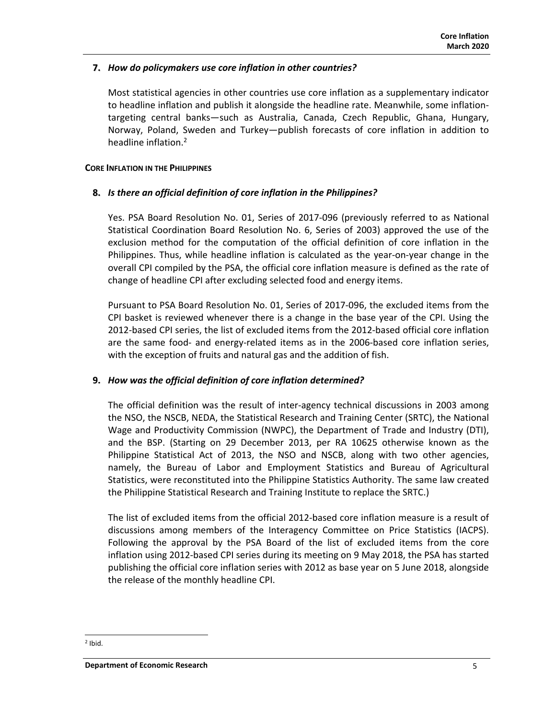## **7.** *How do policymakers use core inflation in other countries?*

Most statistical agencies in other countries use core inflation as a supplementary indicator to headline inflation and publish it alongside the headline rate. Meanwhile, some inflation‐ targeting central banks—such as Australia, Canada, Czech Republic, Ghana, Hungary, Norway, Poland, Sweden and Turkey—publish forecasts of core inflation in addition to headline inflation.2

### **CORE INFLATION IN THE PHILIPPINES**

### **8.** *Is there an official definition of core inflation in the Philippines?*

Yes. PSA Board Resolution No. 01, Series of 2017-096 (previously referred to as National Statistical Coordination Board Resolution No. 6, Series of 2003) approved the use of the exclusion method for the computation of the official definition of core inflation in the Philippines. Thus, while headline inflation is calculated as the year‐on‐year change in the overall CPI compiled by the PSA, the official core inflation measure is defined as the rate of change of headline CPI after excluding selected food and energy items.

Pursuant to PSA Board Resolution No. 01, Series of 2017‐096, the excluded items from the CPI basket is reviewed whenever there is a change in the base year of the CPI. Using the 2012‐based CPI series, the list of excluded items from the 2012‐based official core inflation are the same food- and energy-related items as in the 2006-based core inflation series, with the exception of fruits and natural gas and the addition of fish.

### **9.** *How was the official definition of core inflation determined?*

The official definition was the result of inter-agency technical discussions in 2003 among the NSO, the NSCB, NEDA, the Statistical Research and Training Center (SRTC), the National Wage and Productivity Commission (NWPC), the Department of Trade and Industry (DTI), and the BSP. (Starting on 29 December 2013, per RA 10625 otherwise known as the Philippine Statistical Act of 2013, the NSO and NSCB, along with two other agencies, namely, the Bureau of Labor and Employment Statistics and Bureau of Agricultural Statistics, were reconstituted into the Philippine Statistics Authority. The same law created the Philippine Statistical Research and Training Institute to replace the SRTC.)

The list of excluded items from the official 2012‐based core inflation measure is a result of discussions among members of the Interagency Committee on Price Statistics (IACPS). Following the approval by the PSA Board of the list of excluded items from the core inflation using 2012‐based CPI series during its meeting on 9 May 2018, the PSA has started publishing the official core inflation series with 2012 as base year on 5 June 2018, alongside the release of the monthly headline CPI.

 $2$  Ibid.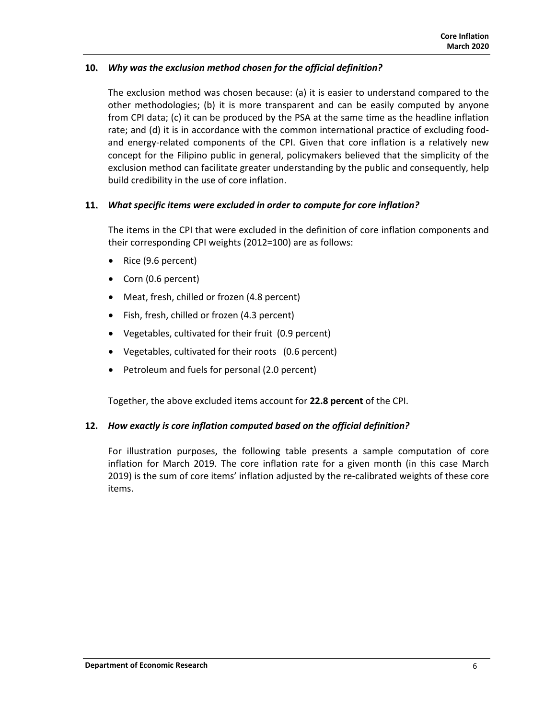# **10.** *Why was the exclusion method chosen for the official definition?*

The exclusion method was chosen because: (a) it is easier to understand compared to the other methodologies; (b) it is more transparent and can be easily computed by anyone from CPI data; (c) it can be produced by the PSA at the same time as the headline inflation rate; and (d) it is in accordance with the common international practice of excluding foodand energy-related components of the CPI. Given that core inflation is a relatively new concept for the Filipino public in general, policymakers believed that the simplicity of the exclusion method can facilitate greater understanding by the public and consequently, help build credibility in the use of core inflation.

## **11.** *What specific items were excluded in order to compute for core inflation?*

The items in the CPI that were excluded in the definition of core inflation components and their corresponding CPI weights (2012=100) are as follows:

- Rice (9.6 percent)
- Corn (0.6 percent)
- Meat, fresh, chilled or frozen (4.8 percent)
- Fish, fresh, chilled or frozen (4.3 percent)
- Vegetables, cultivated for their fruit (0.9 percent)
- Vegetables, cultivated for their roots (0.6 percent)
- Petroleum and fuels for personal (2.0 percent)

Together, the above excluded items account for **22.8 percent** of the CPI.

# **12.** *How exactly is core inflation computed based on the official definition?*

For illustration purposes, the following table presents a sample computation of core inflation for March 2019. The core inflation rate for a given month (in this case March 2019) is the sum of core items' inflation adjusted by the re-calibrated weights of these core items.